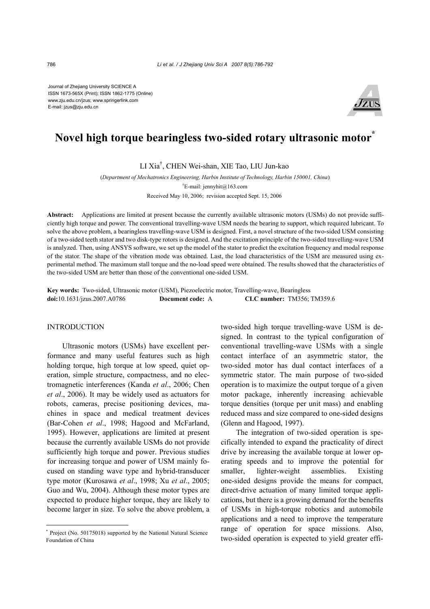Journal of Zhejiang University SCIENCE A ISSN 1673-565X (Print); ISSN 1862-1775 (Online) www.zju.edu.cn/jzus; www.springerlink.com E-mail: jzus@zju.edu.cn



# **Novel high torque bearingless two-sided rotary ultrasonic motor\***

LI Xia† , CHEN Wei-shan, XIE Tao, LIU Jun-kao

 (*Department of Mechatronics Engineering, Harbin Institute of Technology, Harbin 150001, China*) † E-mail: jennyhit@163.com Received May 10, 2006; revision accepted Sept. 15, 2006

**Abstract:** Applications are limited at present because the currently available ultrasonic motors (USMs) do not provide sufficiently high torque and power. The conventional travelling-wave USM needs the bearing to support, which required lubricant. To solve the above problem, a bearingless travelling-wave USM is designed. First, a novel structure of the two-sided USM consisting of a two-sided teeth stator and two disk-type rotors is designed. And the excitation principle of the two-sided travelling-wave USM is analyzed. Then, using ANSYS software, we set up the model of the stator to predict the excitation frequency and modal response of the stator. The shape of the vibration mode was obtained. Last, the load characteristics of the USM are measured using experimental method. The maximum stall torque and the no-load speed were obtained. The results showed that the characteristics of the two-sided USM are better than those of the conventional one-sided USM.

**Key words:** Two-sided, Ultrasonic motor (USM), Piezoelectric motor, Travelling-wave, Bearingless **doi:**10.1631/jzus.2007.A0786 **Document code:** A **CLC number:** TM356; TM359.6

## INTRODUCTION

Ultrasonic motors (USMs) have excellent performance and many useful features such as high holding torque, high torque at low speed, quiet operation, simple structure, compactness, and no electromagnetic interferences (Kanda *et al*., 2006; Chen *et al*., 2006). It may be widely used as actuators for robots, cameras, precise positioning devices, machines in space and medical treatment devices (Bar-Cohen *et al*., 1998; Hagood and McFarland, 1995). However, applications are limited at present because the currently available USMs do not provide sufficiently high torque and power. Previous studies for increasing torque and power of USM mainly focused on standing wave type and hybrid-transducer type motor (Kurosawa *et al*., 1998; Xu *et al*., 2005; Guo and Wu, 2004). Although these motor types are expected to produce higher torque, they are likely to become larger in size. To solve the above problem, a

two-sided high torque travelling-wave USM is designed. In contrast to the typical configuration of conventional travelling-wave USMs with a single contact interface of an asymmetric stator, the two-sided motor has dual contact interfaces of a symmetric stator. The main purpose of two-sided operation is to maximize the output torque of a given motor package, inherently increasing achievable torque densities (torque per unit mass) and enabling reduced mass and size compared to one-sided designs (Glenn and Hagood, 1997).

The integration of two-sided operation is specifically intended to expand the practicality of direct drive by increasing the available torque at lower operating speeds and to improve the potential for smaller, lighter-weight assemblies. Existing one-sided designs provide the means for compact, direct-drive actuation of many limited torque applications, but there is a growing demand for the benefits of USMs in high-torque robotics and automobile applications and a need to improve the temperature range of operation for space missions. Also, two-sided operation is expected to yield greater effi-

<sup>\*</sup> Project (No. 50175018) supported by the National Natural Science Foundation of China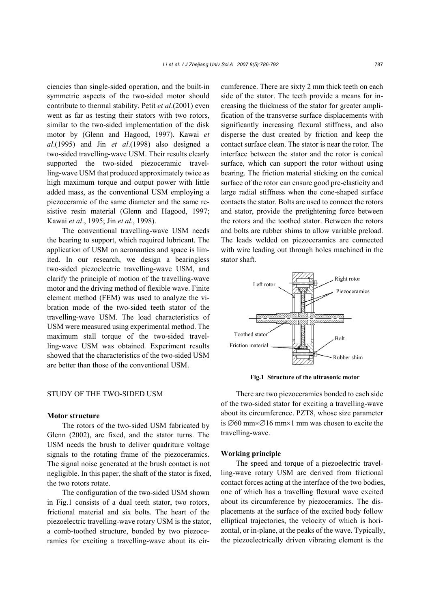ciencies than single-sided operation, and the built-in symmetric aspects of the two-sided motor should contribute to thermal stability. Petit *et al*.(2001) even went as far as testing their stators with two rotors, similar to the two-sided implementation of the disk motor by (Glenn and Hagood, 1997). Kawai *et al*.(1995) and Jin *et al*.(1998) also designed a two-sided travelling-wave USM. Their results clearly supported the two-sided piezoceramic travelling-wave USM that produced approximately twice as high maximum torque and output power with little added mass, as the conventional USM employing a piezoceramic of the same diameter and the same resistive resin material (Glenn and Hagood, 1997; Kawai *et al*., 1995; Jin *et al*., 1998).

The conventional travelling-wave USM needs the bearing to support, which required lubricant. The application of USM on aeronautics and space is limited. In our research, we design a bearingless two-sided piezoelectric travelling-wave USM, and clarify the principle of motion of the travelling-wave motor and the driving method of flexible wave. Finite element method (FEM) was used to analyze the vibration mode of the two-sided teeth stator of the travelling-wave USM. The load characteristics of USM were measured using experimental method. The maximum stall torque of the two-sided travelling-wave USM was obtained. Experiment results showed that the characteristics of the two-sided USM are better than those of the conventional USM.

## STUDY OF THE TWO-SIDED USM

## **Motor structure**

The rotors of the two-sided USM fabricated by Glenn (2002), are fixed, and the stator turns. The USM needs the brush to deliver quadriture voltage signals to the rotating frame of the piezoceramics. The signal noise generated at the brush contact is not negligible. In this paper, the shaft of the stator is fixed, the two rotors rotate.

The configuration of the two-sided USM shown in Fig.1 consists of a dual teeth stator, two rotors, frictional material and six bolts. The heart of the piezoelectric travelling-wave rotary USM is the stator, a comb-toothed structure, bonded by two piezoceramics for exciting a travelling-wave about its circumference. There are sixty 2 mm thick teeth on each side of the stator. The teeth provide a means for increasing the thickness of the stator for greater amplification of the transverse surface displacements with significantly increasing flexural stiffness, and also disperse the dust created by friction and keep the contact surface clean. The stator is near the rotor. The interface between the stator and the rotor is conical surface, which can support the rotor without using bearing. The friction material sticking on the conical surface of the rotor can ensure good pre-elasticity and large radial stiffness when the cone-shaped surface contacts the stator. Bolts are used to connect the rotors and stator, provide the pretightening force between the rotors and the toothed stator. Between the rotors and bolts are rubber shims to allow variable preload. The leads welded on piezoceramics are connected with wire leading out through holes machined in the stator shaft.



**Fig.1 Structure of the ultrasonic motor** 

There are two piezoceramics bonded to each side of the two-sided stator for exciting a travelling-wave about its circumference. PZT8, whose size parameter is ∅60 mm×∅16 mm×1 mm was chosen to excite the travelling-wave.

#### **Working principle**

The speed and torque of a piezoelectric travelling-wave rotary USM are derived from frictional contact forces acting at the interface of the two bodies, one of which has a travelling flexural wave excited about its circumference by piezoceramics. The displacements at the surface of the excited body follow elliptical trajectories, the velocity of which is horizontal, or in-plane, at the peaks of the wave. Typically, the piezoelectrically driven vibrating element is the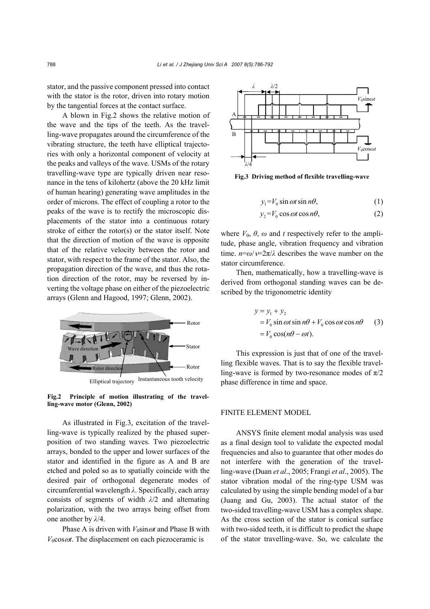stator, and the passive component pressed into contact with the stator is the rotor, driven into rotary motion by the tangential forces at the contact surface.

A blown in Fig.2 shows the relative motion of the wave and the tips of the teeth. As the travelling-wave propagates around the circumference of the vibrating structure, the teeth have elliptical trajectories with only a horizontal component of velocity at the peaks and valleys of the wave. USMs of the rotary travelling-wave type are typically driven near resonance in the tens of kilohertz (above the 20 kHz limit of human hearing) generating wave amplitudes in the order of microns. The effect of coupling a rotor to the peaks of the wave is to rectify the microscopic displacements of the stator into a continuous rotary stroke of either the rotor(s) or the stator itself. Note that the direction of motion of the wave is opposite that of the relative velocity between the rotor and stator, with respect to the frame of the stator. Also, the propagation direction of the wave, and thus the rotation direction of the rotor, may be reversed by inverting the voltage phase on either of the piezoelectric arrays (Glenn and Hagood, 1997; Glenn, 2002).



Elliptical trajectory Instantaneous tooth velocity



As illustrated in Fig.3, excitation of the travelling-wave is typically realized by the phased superposition of two standing waves. Two piezoelectric arrays, bonded to the upper and lower surfaces of the stator and identified in the figure as A and B are etched and poled so as to spatially coincide with the desired pair of orthogonal degenerate modes of circumferential wavelength *λ*. Specifically, each array consists of segments of width *λ*/2 and alternating polarization, with the two arrays being offset from one another by *λ*/4.

Phase A is driven with  $V_0 \sin \omega t$  and Phase B with  $V_0 \cos \omega t$ . The displacement on each piezoceramic is



**Fig.3 Driving method of flexible travelling-wave**

$$
y_1 = V_0 \sin \omega t \sin n\theta, \qquad (1)
$$

$$
y_2 = V_0 \cos \omega t \cos n\theta, \qquad (2)
$$

where  $V_0$ ,  $\theta$ ,  $\omega$  and *t* respectively refer to the amplitude, phase angle, vibration frequency and vibration time.  $n = \omega / \nu = 2\pi / \lambda$  describes the wave number on the stator circumference.

Then, mathematically, how a travelling-wave is derived from orthogonal standing waves can be described by the trigonometric identity

$$
y = y_1 + y_2
$$
  
=  $V_0 \sin \omega t \sin n\theta + V_0 \cos \omega t \cos n\theta$  (3)  
=  $V_0 \cos(n\theta - \omega t)$ .

This expression is just that of one of the travelling flexible waves. That is to say the flexible travelling-wave is formed by two-resonance modes of  $\pi/2$ phase difference in time and space.

## FINITE ELEMENT MODEL

ANSYS finite element modal analysis was used as a final design tool to validate the expected modal frequencies and also to guarantee that other modes do not interfere with the generation of the travelling-wave (Duan *et al*., 2005; Frangi *et al*., 2005). The stator vibration modal of the ring-type USM was calculated by using the simple bending model of a bar (Juang and Gu, 2003). The actual stator of the two-sided travelling-wave USM has a complex shape. As the cross section of the stator is conical surface with two-sided teeth, it is difficult to predict the shape of the stator travelling-wave. So, we calculate the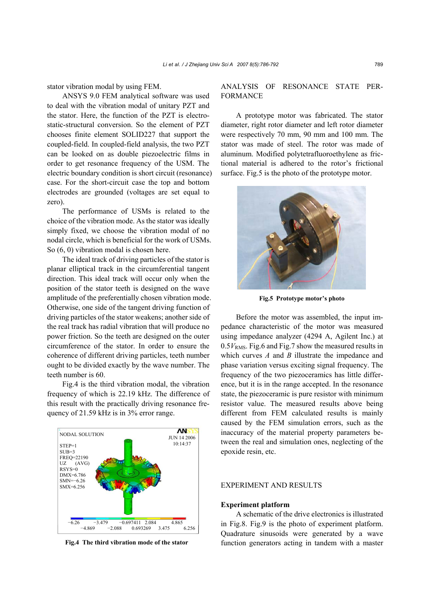stator vibration modal by using FEM.

ANSYS 9.0 FEM analytical software was used to deal with the vibration modal of unitary PZT and the stator. Here, the function of the PZT is electrostatic-structural conversion. So the element of PZT chooses finite element SOLID227 that support the coupled-field. In coupled-field analysis, the two PZT can be looked on as double piezoelectric films in order to get resonance frequency of the USM. The electric boundary condition is short circuit (resonance) case. For the short-circuit case the top and bottom electrodes are grounded (voltages are set equal to zero).

The performance of USMs is related to the choice of the vibration mode. As the stator was ideally simply fixed, we choose the vibration modal of no nodal circle, which is beneficial for the work of USMs. So (6, 0) vibration modal is chosen here.

The ideal track of driving particles of the stator is planar elliptical track in the circumferential tangent direction. This ideal track will occur only when the position of the stator teeth is designed on the wave amplitude of the preferentially chosen vibration mode. Otherwise, one side of the tangent driving function of driving particles of the stator weakens; another side of the real track has radial vibration that will produce no power friction. So the teeth are designed on the outer circumference of the stator. In order to ensure the coherence of different driving particles, teeth number ought to be divided exactly by the wave number. The teeth number is 60.

Fig.4 is the third vibration modal, the vibration frequency of which is 22.19 kHz. The difference of this result with the practically driving resonance frequency of 21.59 kHz is in 3% error range.



**Fig.4 The third vibration mode of the stator**

# ANALYSIS OF RESONANCE STATE PER-FORMANCE

A prototype motor was fabricated. The stator diameter, right rotor diameter and left rotor diameter were respectively 70 mm, 90 mm and 100 mm. The stator was made of steel. The rotor was made of aluminum. Modified polytetrafluoroethylene as frictional material is adhered to the rotor's frictional surface. Fig.5 is the photo of the prototype motor.



**Fig.5 Prototype motor's photo**

Before the motor was assembled, the input impedance characteristic of the motor was measured using impedance analyzer (4294 A, Agilent Inc.) at  $0.5V<sub>RMS</sub>$ . Fig.6 and Fig.7 show the measured results in which curves *A* and *B* illustrate the impedance and phase variation versus exciting signal frequency. The frequency of the two piezoceramics has little difference, but it is in the range accepted. In the resonance state, the piezoceramic is pure resistor with minimum resistor value. The measured results above being different from FEM calculated results is mainly caused by the FEM simulation errors, such as the inaccuracy of the material property parameters between the real and simulation ones, neglecting of the epoxide resin, etc.

# EXPERIMENT AND RESULTS

#### **Experiment platform**

A schematic of the drive electronics is illustrated in Fig.8. Fig.9 is the photo of experiment platform. Quadrature sinusoids were generated by a wave function generators acting in tandem with a master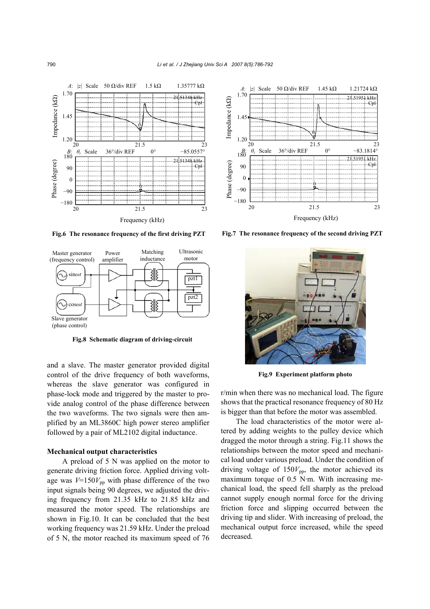

**Fig.6 The resonance frequency of the first driving PZT**



**Fig.8 Schematic diagram of driving-circuit** 

and a slave. The master generator provided digital control of the drive frequency of both waveforms, whereas the slave generator was configured in phase-lock mode and triggered by the master to provide analog control of the phase difference between the two waveforms. The two signals were then amplified by an ML3860C high power stereo amplifier followed by a pair of ML2102 digital inductance.

#### **Mechanical output characteristics**

A preload of 5 N was applied on the motor to generate driving friction force. Applied driving voltage was  $V=150V_{\text{pp}}$  with phase difference of the two input signals being 90 degrees, we adjusted the driving frequency from 21.35 kHz to 21.85 kHz and measured the motor speed. The relationships are shown in Fig.10. It can be concluded that the best working frequency was 21.59 kHz. Under the preload of 5 N, the motor reached its maximum speed of 76





 **Fig.9 Experiment platform photo**

r/min when there was no mechanical load. The figure shows that the practical resonance frequency of 80 Hz is bigger than that before the motor was assembled.

The load characteristics of the motor were altered by adding weights to the pulley device which dragged the motor through a string. Fig.11 shows the relationships between the motor speed and mechanical load under various preload. Under the condition of driving voltage of  $150V_{\text{pp}}$ , the motor achieved its maximum torque of 0.5 N·m. With increasing mechanical load, the speed fell sharply as the preload cannot supply enough normal force for the driving friction force and slipping occurred between the driving tip and slider. With increasing of preload, the mechanical output force increased, while the speed decreased.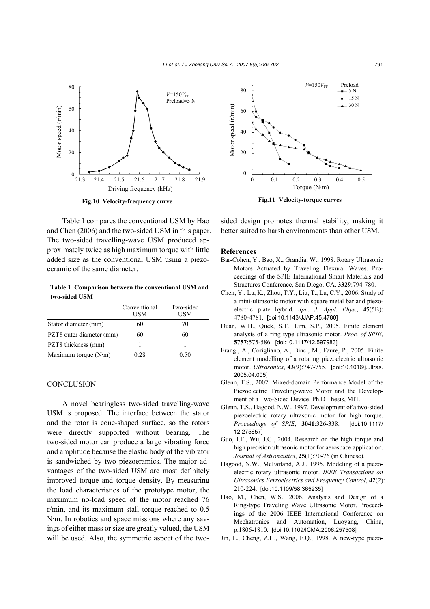

Table 1 compares the conventional USM by Hao and Chen (2006) and the two-sided USM in this paper. The two-sided travelling-wave USM produced approximately twice as high maximum torque with little added size as the conventional USM using a piezoceramic of the same diameter.

**Table 1 Comparison between the conventional USM and two-sided USM** 

|                              | Conventional<br>USM | Two-sided<br>USM |
|------------------------------|---------------------|------------------|
| Stator diameter (mm)         | 60                  | 70               |
| PZT8 outer diameter (mm)     | 60                  | 60               |
| PZT8 thickness (mm)          |                     |                  |
| Maximum torque $(N \cdot m)$ | 0.28                | 0.50             |

## **CONCLUSION**

A novel bearingless two-sided travelling-wave USM is proposed. The interface between the stator and the rotor is cone-shaped surface, so the rotors were directly supported without bearing. The two-sided motor can produce a large vibrating force and amplitude because the elastic body of the vibrator is sandwiched by two piezoeramics. The major advantages of the two-sided USM are most definitely improved torque and torque density. By measuring the load characteristics of the prototype motor, the maximum no-load speed of the motor reached 76 r/min, and its maximum stall torque reached to 0.5 N·m. In robotics and space missions where any savings of either mass or size are greatly valued, the USM will be used. Also, the symmetric aspect of the two-



sided design promotes thermal stability, making it better suited to harsh environments than other USM.

#### **References**

- Bar-Cohen, Y., Bao, X., Grandia, W., 1998. Rotary Ultrasonic Motors Actuated by Traveling Flexural Waves. Proceedings of the SPIE International Smart Materials and Structures Conference, San Diego, CA, **3329**:794-780.
- Chen, Y., Lu, K., Zhou, T.Y., Liu, T., Lu, C.Y., 2006. Study of a mini-ultrasonic motor with square metal bar and piezoelectric plate hybrid. *Jpn. J. Appl. Phys.*, **45**(5B): 4780-4781. [doi:10.1143/JJAP.45.4780]
- Duan, W.H., Quek, S.T., Lim, S.P., 2005. Finite element analysis of a ring type ultrasonic motor. *Proc. of SPIE*, **5757**:575-586. [doi:10.1117/12.597983]
- Frangi, A., Corigliano, A., Binci, M., Faure, P., 2005. Finite element modelling of a rotating piezoelectric ultrasonic motor. *Ultrasonics*, **43**(9):747-755. [doi:10.1016/j.ultras. 2005.04.005]
- Glenn, T.S., 2002. Mixed-domain Performance Model of the Piezoelectric Traveling-wave Motor and the Development of a Two-Sided Device. Ph.D Thesis, MIT.
- Glenn, T.S., Hagood, N.W., 1997. Development of a two-sided piezoelectric rotary ultrasonic motor for high torque. *Proceedings of SPIE*, **3041**:326-338. [doi:10.1117/ 12.275657]
- Guo, J.F., Wu, J.G., 2004. Research on the high torque and high precision ultrasonic motor for aerospace application. *Journal of Astronautics*, **25**(1):70-76 (in Chinese).
- Hagood, N.W., McFarland, A.J., 1995. Modeling of a piezoelectric rotary ultrasonic motor. *IEEE Transactions on Ultrasonics Ferroelectrics and Frequency Control*, **42**(2): 210-224. [doi:10.1109/58.365235]
- Hao, M., Chen, W.S., 2006. Analysis and Design of a Ring-type Traveling Wave Ultrasonic Motor. Proceedings of the 2006 IEEE International Conference on Mechatronics and Automation, Luoyang, China, p.1806-1810. [doi:10.1109/ICMA.2006.257508]
- Jin, L., Cheng, Z.H., Wang, F.Q., 1998. A new-type piezo-